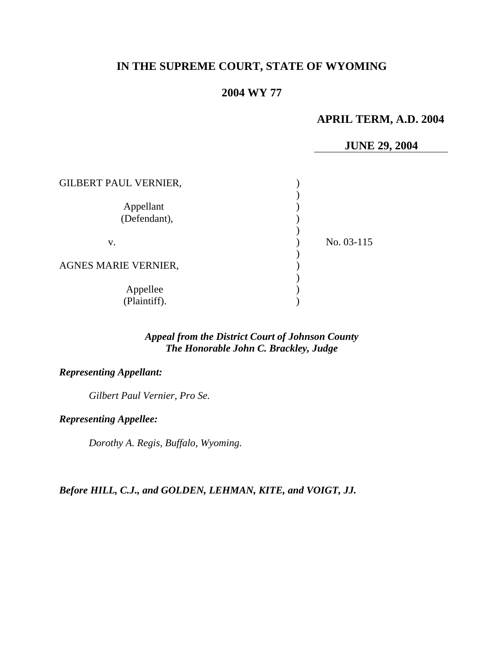# **IN THE SUPREME COURT, STATE OF WYOMING**

## **2004 WY 77**

## **APRIL TERM, A.D. 2004**

### **JUNE 29, 2004**

| <b>GILBERT PAUL VERNIER,</b> |            |
|------------------------------|------------|
| Appellant<br>(Defendant),    |            |
| v.                           | No. 03-115 |
| <b>AGNES MARIE VERNIER,</b>  |            |
| Appellee<br>(Plaintiff).     |            |

### *Appeal from the District Court of Johnson County The Honorable John C. Brackley, Judge*

### *Representing Appellant:*

*Gilbert Paul Vernier, Pro Se.* 

#### *Representing Appellee:*

*Dorothy A. Regis, Buffalo, Wyoming.* 

### *Before HILL, C.J., and GOLDEN, LEHMAN, KITE, and VOIGT, JJ.*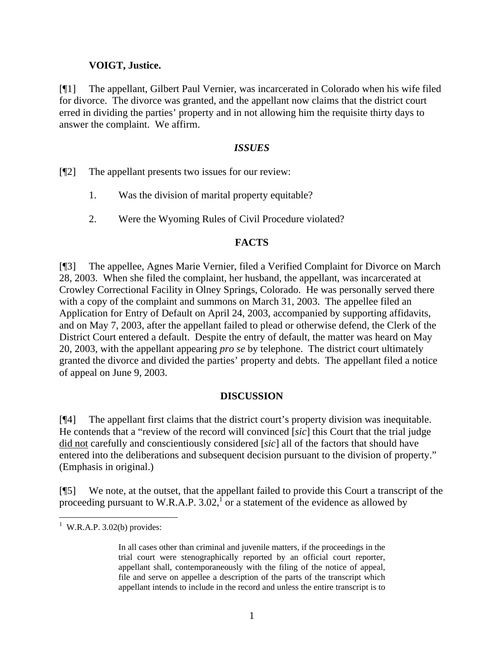### **VOIGT, Justice.**

[¶1] The appellant, Gilbert Paul Vernier, was incarcerated in Colorado when his wife filed for divorce. The divorce was granted, and the appellant now claims that the district court erred in dividing the parties' property and in not allowing him the requisite thirty days to answer the complaint. We affirm.

### *ISSUES*

[¶2] The appellant presents two issues for our review:

- 1. Was the division of marital property equitable?
- 2. Were the Wyoming Rules of Civil Procedure violated?

### **FACTS**

[¶3] The appellee, Agnes Marie Vernier, filed a Verified Complaint for Divorce on March 28, 2003. When she filed the complaint, her husband, the appellant, was incarcerated at Crowley Correctional Facility in Olney Springs, Colorado. He was personally served there with a copy of the complaint and summons on March 31, 2003. The appellee filed an Application for Entry of Default on April 24, 2003, accompanied by supporting affidavits, and on May 7, 2003, after the appellant failed to plead or otherwise defend, the Clerk of the District Court entered a default. Despite the entry of default, the matter was heard on May 20, 2003, with the appellant appearing *pro se* by telephone. The district court ultimately granted the divorce and divided the parties' property and debts. The appellant filed a notice of appeal on June 9, 2003.

### **DISCUSSION**

[¶4] The appellant first claims that the district court's property division was inequitable. He contends that a "review of the record will convinced [*sic*] this Court that the trial judge did not carefully and conscientiously considered [*sic*] all of the factors that should have entered into the deliberations and subsequent decision pursuant to the division of property." (Emphasis in original.)

[¶5] We note, at the outset, that the appellant failed to provide this Court a transcript of the proceeding pursuant to W.R.A.P. 3.02,  $\overline{1}$  or a statement of the evidence as allowed by

 $1$  W.R.A.P. 3.02(b) provides:

In all cases other than criminal and juvenile matters, if the proceedings in the trial court were stenographically reported by an official court reporter, appellant shall, contemporaneously with the filing of the notice of appeal, file and serve on appellee a description of the parts of the transcript which appellant intends to include in the record and unless the entire transcript is to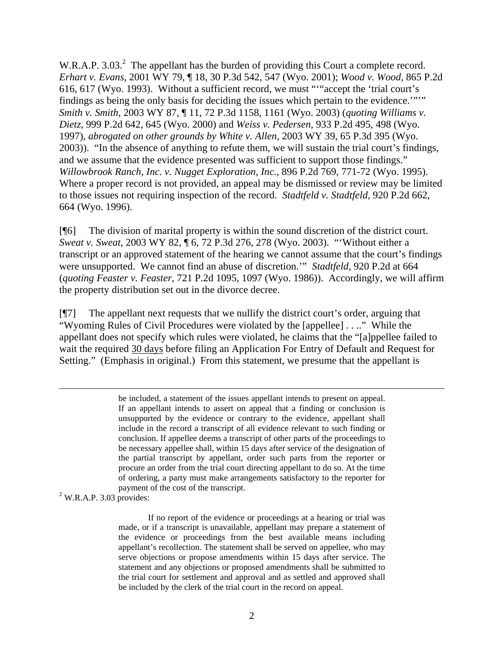W.R.A.P. 3.03.<sup>2</sup> The appellant has the burden of providing this Court a complete record. *Erhart v. Evans,* 2001 WY 79, ¶ 18, 30 P.3d 542, 547 (Wyo. 2001); *Wood v. Wood,* 865 P.2d 616, 617 (Wyo. 1993). Without a sufficient record, we must "'"accept the 'trial court's findings as being the only basis for deciding the issues which pertain to the evidence.'"'" *Smith v. Smith*, 2003 WY 87, ¶ 11, 72 P.3d 1158, 1161 (Wyo. 2003) (*quoting Williams v. Dietz*, 999 P.2d 642, 645 (Wyo. 2000) and *Weiss v. Pedersen*, 933 P.2d 495, 498 (Wyo. 1997), *abrogated on other grounds by White v. Allen*, 2003 WY 39, 65 P.3d 395 (Wyo. 2003)). "In the absence of anything to refute them, we will sustain the trial court's findings, and we assume that the evidence presented was sufficient to support those findings." *Willowbrook Ranch, Inc. v. Nugget Exploration, Inc.,* 896 P.2d 769, 771-72 (Wyo. 1995). Where a proper record is not provided, an appeal may be dismissed or review may be limited to those issues not requiring inspection of the record. *Stadtfeld v. Stadtfeld*, 920 P.2d 662, 664 (Wyo. 1996).

[¶6] The division of marital property is within the sound discretion of the district court. *Sweat v. Sweat*, 2003 WY 82, ¶ 6, 72 P.3d 276, 278 (Wyo. 2003). "'Without either a transcript or an approved statement of the hearing we cannot assume that the court's findings were unsupported. We cannot find an abuse of discretion.'" *Stadtfeld*, 920 P.2d at 664 (*quoting Feaster v. Feaster*, 721 P.2d 1095, 1097 (Wyo. 1986)). Accordingly, we will affirm the property distribution set out in the divorce decree.

[¶7] The appellant next requests that we nullify the district court's order, arguing that "Wyoming Rules of Civil Procedures were violated by the [appellee] . . .." While the appellant does not specify which rules were violated, he claims that the "[a]ppellee failed to wait the required 30 days before filing an Application For Entry of Default and Request for Setting." (Emphasis in original.) From this statement, we presume that the appellant is

> be included, a statement of the issues appellant intends to present on appeal. If an appellant intends to assert on appeal that a finding or conclusion is unsupported by the evidence or contrary to the evidence, appellant shall include in the record a transcript of all evidence relevant to such finding or conclusion. If appellee deems a transcript of other parts of the proceedings to be necessary appellee shall, within 15 days after service of the designation of the partial transcript by appellant, order such parts from the reporter or procure an order from the trial court directing appellant to do so. At the time of ordering, a party must make arrangements satisfactory to the reporter for payment of the cost of the transcript.

#### $2$  W.R.A.P. 3.03 provides:

 $\overline{a}$ 

If no report of the evidence or proceedings at a hearing or trial was made, or if a transcript is unavailable, appellant may prepare a statement of the evidence or proceedings from the best available means including appellant's recollection. The statement shall be served on appellee, who may serve objections or propose amendments within 15 days after service. The statement and any objections or proposed amendments shall be submitted to the trial court for settlement and approval and as settled and approved shall be included by the clerk of the trial court in the record on appeal.